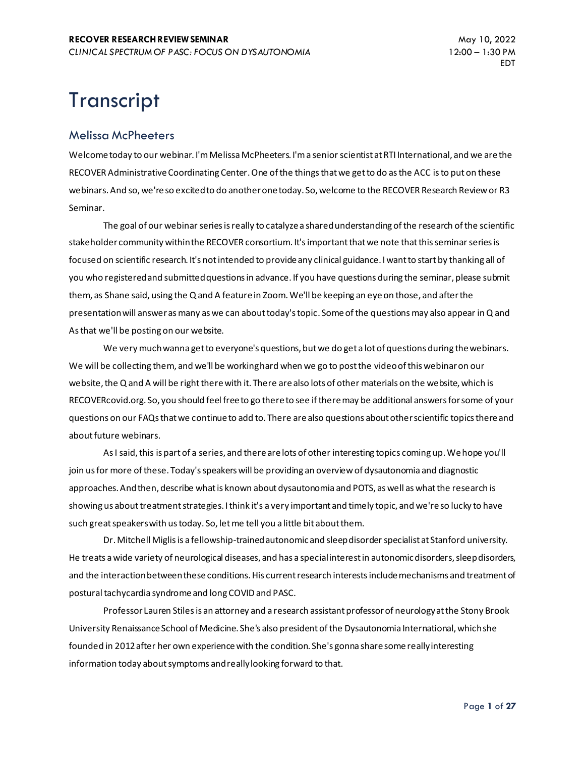# **Transcript**

#### Melissa McPheeters

Welcome today to our webinar. I'm Melissa McPheeters. I'm a senior scientist at RTI International, and we are the RECOVER Administrative Coordinating Center. One of the things that we get to do as the ACC is to put on these webinars. And so, we're so excited to do another one today. So, welcome to the RECOVER Research Review or R3 Seminar.

The goal of our webinar series is really to catalyze a shared understanding of the research of the scientific stakeholder community within the RECOVER consortium. It's important that we note that this seminar series is focused on scientific research. It's not intended to provide any clinical guidance. I want to start by thanking all of you who registered and submitted questions in advance. If you have questions during the seminar, please submit them, as Shane said, using the Q and A feature in Zoom. We'll be keeping an eye on those, and after the presentation will answer as many as we can about today's topic. Some of the questions may also appear in Q and As that we'll be posting on our website.

We very much wanna get to everyone's questions, but we do get a lot of questions during the webinars. We will be collecting them, and we'll be working hard when we go to post the video of this webinar on our website, the Q and A will be right there with it. There are also lots of other materials on the website, which is RECOVERcovid.org. So, you should feel free to go there to see if there may be additional answers for some of your questions on our FAQs that we continue to add to. There are also questions about other scientific topics there and about future webinars.

As I said, this is part of a series, and there are lots of other interesting topics coming up. We hope you'll join us for more of these. Today's speakers will be providing an overview of dysautonomia and diagnostic approaches. And then, describe what is known about dysautonomia and POTS, as well as what the research is showing us about treatment strategies. I think it's a very important and timely topic, and we're so lucky to have such great speakers with us today. So, let me tell you a little bit about them.

Dr. Mitchell Miglis is a fellowship-trained autonomic and sleep disorder specialist at Stanford university. He treats a wide variety of neurological diseases, and has a special interest in autonomic disorders, sleep disorders, and the interaction between these conditions. His current research interests include mechanisms and treatment of postural tachycardia syndrome and long COVID and PASC.

Professor Lauren Stiles is an attorney and a research assistant professor of neurology at the Stony Brook University Renaissance School of Medicine. She's also president of the Dysautonomia International, which she founded in 2012 after her own experience with the condition. She's gonna share some really interesting information today about symptoms and really looking forward to that.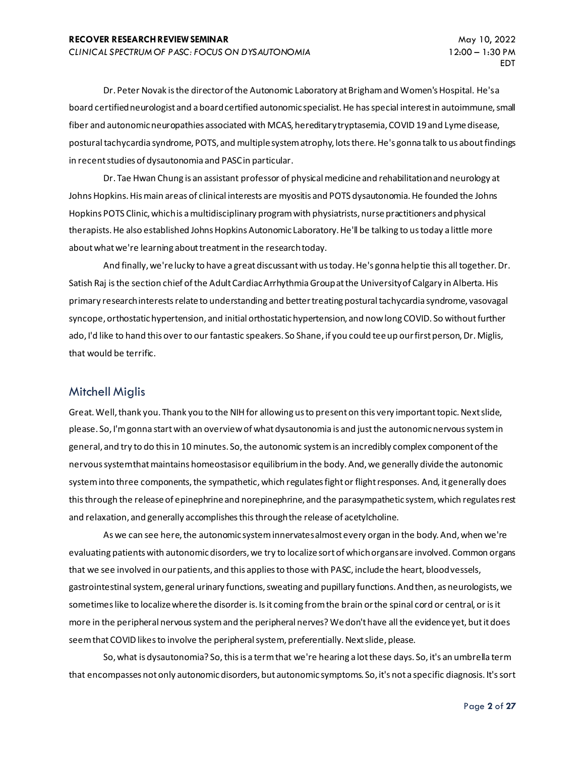Dr. Peter Novak is the director of the Autonomic Laboratory at Brigham and Women's Hospital. He's a board certified neurologist and a board certified autonomic specialist. He has special interest in autoimmune, small fiber and autonomic neuropathies associated with MCAS, hereditary tryptasemia, COVID 19 and Lyme disease, postural tachycardia syndrome, POTS, and multiple system atrophy, lots there. He's gonna talk to us about findings in recent studies of dysautonomia and PASC in particular.

Dr. Tae Hwan Chung is an assistant professor of physical medicine and rehabilitation and neurology at Johns Hopkins. His main areas of clinical interests are myositis and POTS dysautonomia. He founded the Johns Hopkins POTS Clinic, which is a multidisciplinary program with physiatrists, nurse practitioners and physical therapists. He also established Johns Hopkins Autonomic Laboratory. He'll be talking to us today a little more about what we're learning about treatment in the research today.

And finally, we're lucky to have a great discussant with us today. He's gonna help tie this all together. Dr. Satish Raj is the section chief of the Adult Cardiac Arrhythmia Group at the University of Calgary in Alberta. His primary research interests relate to understanding and better treating postural tachycardia syndrome, vasovagal syncope, orthostatic hypertension, and initial orthostatic hypertension, and now long COVID. So without further ado, I'd like to hand this over to our fantastic speakers. So Shane, if you could tee up our first person, Dr. Miglis, that would be terrific.

#### Mitchell Miglis

Great. Well, thank you. Thank you to the NIH for allowing us to present on this very important topic. Next slide, please. So, I'm gonna start with an overview of what dysautonomia is and just the autonomic nervous system in general, and try to do this in 10 minutes. So, the autonomic system is an incredibly complex component of the nervous system that maintains homeostasis or equilibrium in the body. And, we generally divide the autonomic system into three components, the sympathetic, which regulates fight or flight responses. And, it generally does this through the release of epinephrine and norepinephrine, and the parasympathetic system, which regulates rest and relaxation, and generally accomplishes this through the release of acetylcholine.

As we can see here, the autonomic system innervates almost every organ in the body. And, when we're evaluating patients with autonomic disorders, we try to localize sort of which organs are involved. Common organs that we see involved in our patients, and this applies to those with PASC, include the heart, blood vessels, gastrointestinal system, general urinary functions, sweating and pupillary functions. And then, as neurologists, we sometimes like to localize where the disorder is. Is it coming from the brain or the spinal cord or central, or is it more in the peripheral nervous system and the peripheral nerves? We don't have all the evidence yet, but it does seem that COVID likes to involve the peripheral system, preferentially. Next slide, please.

So, what is dysautonomia? So, this is a term that we're hearing a lot these days. So, it's an umbrella term that encompasses not only autonomic disorders, but autonomic symptoms. So, it's not a specific diagnosis. It's sort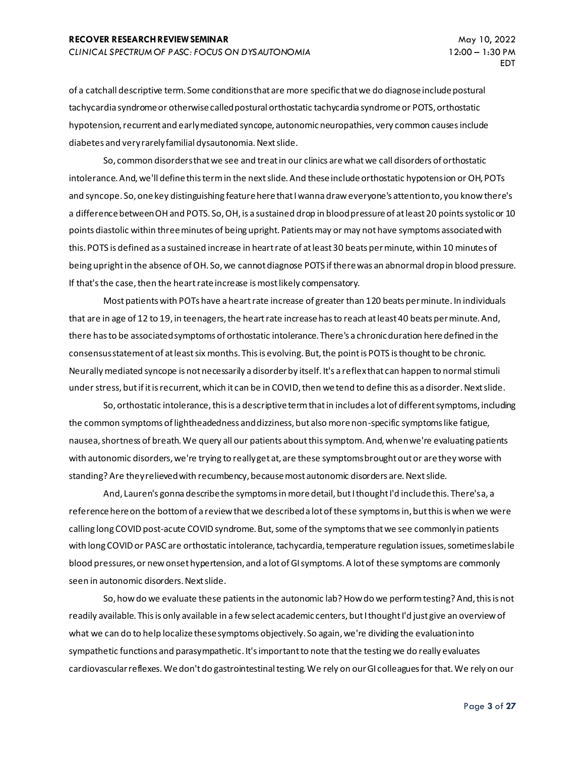of a catchall descriptive term. Some conditions that are more specific that we do diagnose include postural tachycardia syndrome or otherwise called postural orthostatic tachycardia syndrome or POTS, orthostatic hypotension, recurrent and early mediated syncope, autonomic neuropathies, very common causes include diabetes and very rarely familial dysautonomia. Next slide.

So, common disorders that we see and treat in our clinics are what we call disorders of orthostatic intolerance. And, we'll define this term in the next slide. And these include orthostatic hypotension or OH, POTs and syncope. So, one key distinguishing feature here that I wanna draw everyone's attention to, you know there's a difference between OH and POTS. So, OH, is a sustained drop in blood pressure of at least 20 points systolic or 10 points diastolic within three minutes of being upright. Patients may or may not have symptoms associated with this. POTS is defined as a sustained increase in heart rate of at least 30 beats per minute, within 10 minutes of being upright in the absence of OH. So, we cannot diagnose POTS if there was an abnormal drop in blood pressure. If that's the case, then the heart rate increase is most likely compensatory.

Most patients with POTs have a heart rate increase of greater than 120 beats per minute. In individuals that are in age of 12 to 19, in teenagers, the heart rate increase has to reach at least 40 beats per minute. And, there has to be associated symptoms of orthostatic intolerance. There's a chronic duration here defined in the consensus statement of at leastsix months. This is evolving. But, the point is POTS is thought to be chronic. Neurally mediated syncope is not necessarily a disorder by itself. It's a reflex that can happen to normal stimuli under stress, but if it is recurrent, which it can be in COVID, then we tend to define this as a disorder. Next slide.

So, orthostatic intolerance, this is a descriptive term that in includes a lot of different symptoms, including the common symptoms of lightheadedness and dizziness, but also more non-specific symptoms like fatigue, nausea, shortness of breath. We query all our patients about this symptom. And, when we're evaluating patients with autonomic disorders, we're trying to really get at, are these symptoms brought out or are they worse with standing? Are they relieved with recumbency, because most autonomic disorders are. Next slide.

And, Lauren's gonna describe the symptoms in more detail, but I thought I'd include this. There's a, a reference here on the bottom of a review that we described a lot of these symptoms in, but this is when we were calling long COVID post-acute COVID syndrome. But, some of the symptoms that we see commonly in patients with long COVID or PASC are orthostatic intolerance, tachycardia, temperature regulation issues, sometimes labile blood pressures, or new onset hypertension, and a lot of GI symptoms. A lot of these symptoms are commonly seen in autonomic disorders. Next slide.

So, how do we evaluate these patients in the autonomic lab? How do we perform testing? And, this is not readily available. This is only available in a few select academic centers, but I thought I'd just give an overview of what we can do to help localize these symptoms objectively. So again, we're dividing the evaluation into sympathetic functions and parasympathetic. It's important to note that the testing we do really evaluates cardiovascular reflexes. We don't do gastrointestinal testing. We rely on our GI colleagues for that. We rely on our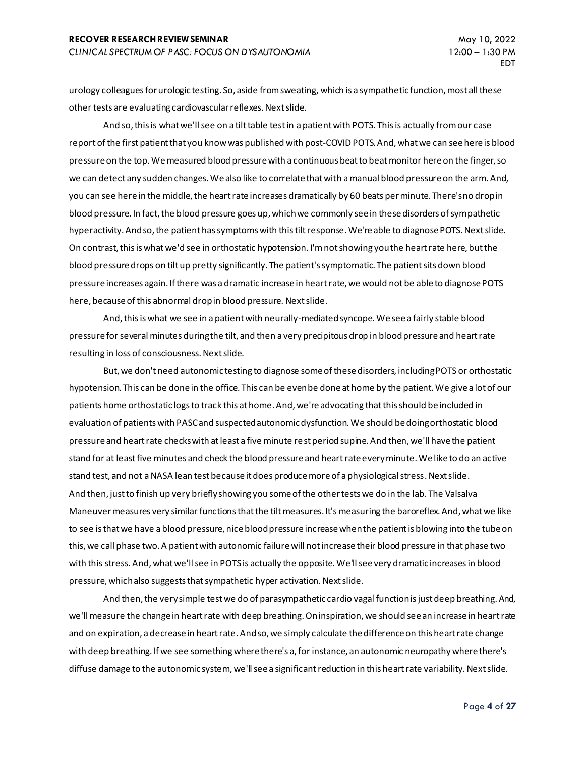urology colleagues for urologic testing. So, aside from sweating, which is a sympathetic function, most all these other tests are evaluating cardiovascular reflexes. Next slide.

And so, this is what we'll see on a tilt table test in a patient with POTS. This is actually from our case report of the first patient that you know was published with post-COVID POTS. And, what we can see here is blood pressure on the top. We measured blood pressure with a continuous beat to beat monitor here on the finger, so we can detect any sudden changes. We also like to correlate that with a manual blood pressure on the arm. And, you can see here in the middle, the heart rate increases dramatically by 60 beats per minute. There's no drop in blood pressure. In fact, the blood pressure goes up, which we commonly see in these disorders of sympathetic hyperactivity. And so, the patient has symptoms with this tilt response. We're able to diagnose POTS. Next slide. On contrast, this is what we'd see in orthostatic hypotension. I'm not showing you the heart rate here, but the blood pressure drops on tilt up pretty significantly. The patient's symptomatic. The patient sits down blood pressure increases again. If there was a dramatic increase in heart rate, we would not be able to diagnose POTS here, because of this abnormal drop in blood pressure. Next slide.

And, this is what we see in a patient with neurally-mediated syncope. We see a fairly stable blood pressure for several minutes during the tilt, and then a very precipitous drop in blood pressure and heart rate resulting in loss of consciousness. Next slide.

But, we don't need autonomic testing to diagnose some of these disorders, including POTS or orthostatic hypotension. This can be done in the office. This can be even be done at home by the patient. We give a lot of our patients home orthostatic logs to track this at home. And, we're advocating that this should be included in evaluation of patients with PASC and suspected autonomic dysfunction. We should be doing orthostatic blood pressure and heart rate checks with at least a five minute rest period supine. And then, we'll have the patient stand for at least five minutes and check the blood pressure and heart rate every minute. We like to do an active stand test, and not a NASA lean test because it does produce more of a physiological stress. Next slide. And then, just to finish up very briefly showing you some of the other tests we do in the lab. The Valsalva Maneuver measures very similar functions that the tilt measures. It's measuring the baroreflex. And, what we like to see is that we have a blood pressure, nice blood pressure increase when the patient is blowing into the tube on this, we call phase two. A patient with autonomic failure will not increase their blood pressure in that phase two with this stress. And, what we'll see in POTS is actually the opposite. We'll see very dramatic increases in blood pressure, which also suggests that sympathetic hyper activation. Next slide.

And then, the very simple test we do of parasympathetic cardio vagal function is just deep breathing. And, we'll measure the change in heart rate with deep breathing. On inspiration, we should see an increase in heart rate and on expiration, a decrease in heart rate. And so, we simply calculate the difference on this heart rate change with deep breathing. If we see something where there's a, for instance, an autonomic neuropathy where there's diffuse damage to the autonomic system, we'll see a significant reduction in this heart rate variability. Next slide.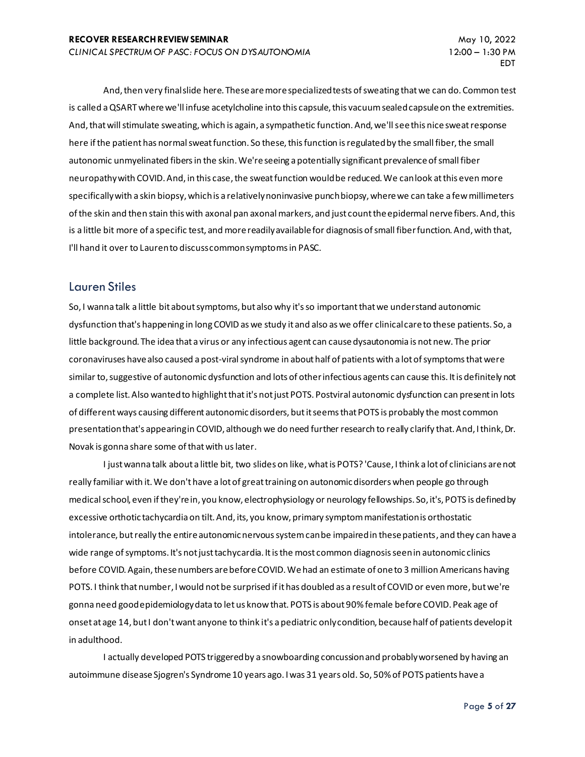And, then very final slide here. These are more specialized tests of sweating that we can do. Common test is called a QSART where we'll infuse acetylcholine into this capsule, this vacuum sealed capsule on the extremities. And, that will stimulate sweating, which is again, a sympathetic function. And, we'll see this nice sweat response here if the patient has normal sweat function. So these, this function is regulated by the small fiber, the small autonomic unmyelinated fibers in the skin. We're seeing a potentially significant prevalence of small fiber neuropathy with COVID. And, in this case, the sweat function would be reduced. We can look at this even more specifically with a skin biopsy, which is a relatively noninvasive punch biopsy, where we can take a few millimeters of the skin and then stain this with axonal pan axonal markers, and just count the epidermal nerve fibers. And, this is a little bit more of a specific test, and more readily available for diagnosis of small fiber function. And, with that, I'll hand it over to Lauren to discuss common symptoms in PASC.

#### Lauren Stiles

So, I wanna talk a little bit about symptoms, but also why it's so important that we understand autonomic dysfunction that's happening in long COVID as we study it and also as we offer clinical care to these patients. So, a little background. The idea that a virus or any infectious agent can cause dysautonomia is not new. The prior coronaviruses have also caused a post-viral syndrome in about half of patients with a lot of symptoms that were similar to, suggestive of autonomic dysfunction and lots of other infectious agents can cause this. It is definitely not a complete list. Also wanted to highlight that it's not just POTS. Postviral autonomic dysfunction can present in lots of different ways causing different autonomic disorders, but it seems that POTS is probably the most common presentation that's appearing in COVID, although we do need further research to really clarify that. And, I think, Dr. Novak is gonna share some of that with us later.

I just wanna talk about a little bit, two slides on like, what is POTS? 'Cause, I think a lot of clinicians are not really familiar with it. We don't have a lot of great training on autonomic disorders when people go through medical school, even if they're in, you know, electrophysiology or neurology fellowships. So, it's, POTS is defined by excessive orthotic tachycardia on tilt. And, its, you know, primary symptom manifestation is orthostatic intolerance, but really the entire autonomic nervous system can be impaired in these patients, and they can have a wide range of symptoms. It's not just tachycardia. It is the most common diagnosis seen in autonomic clinics before COVID. Again, these numbers are before COVID. We had an estimate of one to 3 million Americans having POTS. I think that number, I would not be surprised if it has doubled as a result of COVID or even more, but we're gonna need good epidemiology data to let us know that. POTS is about 90% female before COVID. Peak age of onset at age 14, but I don't want anyone to think it's a pediatric only condition, because half of patients develop it in adulthood.

I actually developed POTS triggered by a snowboarding concussion and probably worsened by having an autoimmune disease Sjogren's Syndrome 10 years ago. I was 31 years old. So, 50% of POTS patients have a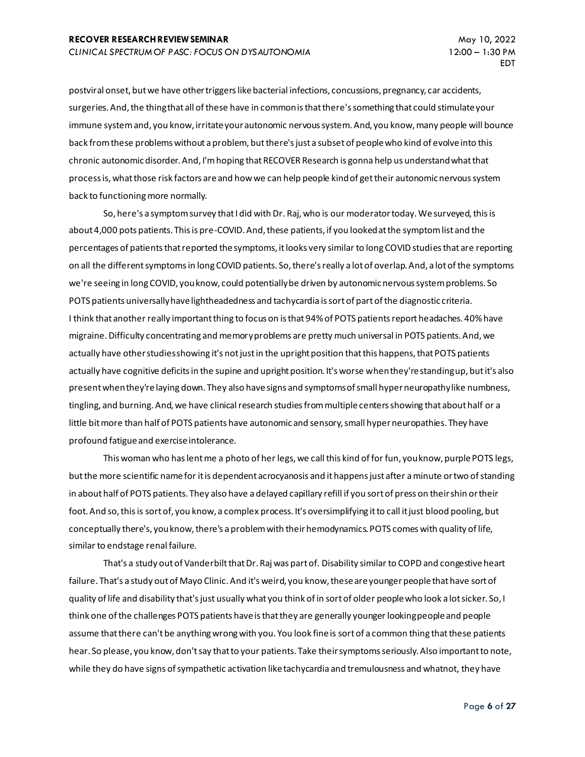postviral onset, but we have other triggers like bacterial infections, concussions, pregnancy, car accidents, surgeries. And, the thing that all of these have in common is that there's something that could stimulate your immune system and, you know, irritate your autonomic nervous system. And, you know, many people will bounce back from these problems without a problem, but there's just a subset of people who kind of evolve into this chronic autonomic disorder. And, I'm hoping that RECOVER Research is gonna help us understand what that process is, what those risk factors are and how we can help people kind of get their autonomic nervous system back to functioning more normally.

So, here's a symptom survey that I did with Dr. Raj, who is our moderator today. We surveyed, this is about 4,000 pots patients. This is pre-COVID. And, these patients, if you looked at the symptom list and the percentages of patients that reported the symptoms, it looks very similar to long COVID studies that are reporting on all the different symptoms in long COVID patients. So, there's really a lot of overlap. And, a lot of the symptoms we're seeing in long COVID, you know, could potentially be driven by autonomic nervous system problems. So POTS patients universally have lightheadedness and tachycardia is sort of part of the diagnostic criteria. I think that another really important thing to focus on is that 94% of POTS patients report headaches. 40% have migraine. Difficulty concentrating and memory problems are pretty much universal in POTS patients. And, we actually have other studies showing it's not just in the upright position that this happens, that POTS patients actually have cognitive deficits in the supine and upright position. It's worse when they're standing up, but it's also present when they're laying down. They also have signs and symptoms of small hyper neuropathy like numbness, tingling, and burning. And, we have clinical research studies from multiple centers showing that about half or a little bit more than half of POTS patients have autonomic and sensory, small hyper neuropathies. They have profound fatigue and exercise intolerance.

This woman who has lent me a photo of her legs, we call this kind of for fun, you know, purple POTS legs, but the more scientific name for it is dependent acrocyanosis and it happens just after a minute or two of standing in about half of POTS patients. They also have a delayed capillary refill if you sort of press on their shin or their foot. And so, this is sort of, you know, a complex process. It's oversimplifying it to call it just blood pooling, but conceptually there's, you know, there's a problem with their hemodynamics. POTS comes with quality of life, similar to endstage renal failure.

That's a study out of Vanderbilt that Dr. Raj was part of. Disability similar to COPD and congestive heart failure. That's a study out of Mayo Clinic. And it's weird, you know, these are younger people that have sort of quality of life and disability that's just usually what you think of in sort of older people who look a lot sicker. So, I think one of the challenges POTS patients have is that they are generally younger looking people and people assume that there can't be anything wrong with you. You look fine is sort of a common thing that these patients hear. So please, you know, don't say that to your patients. Take their symptoms seriously. Also important to note, while they do have signs of sympathetic activation like tachycardia and tremulousness and whatnot, they have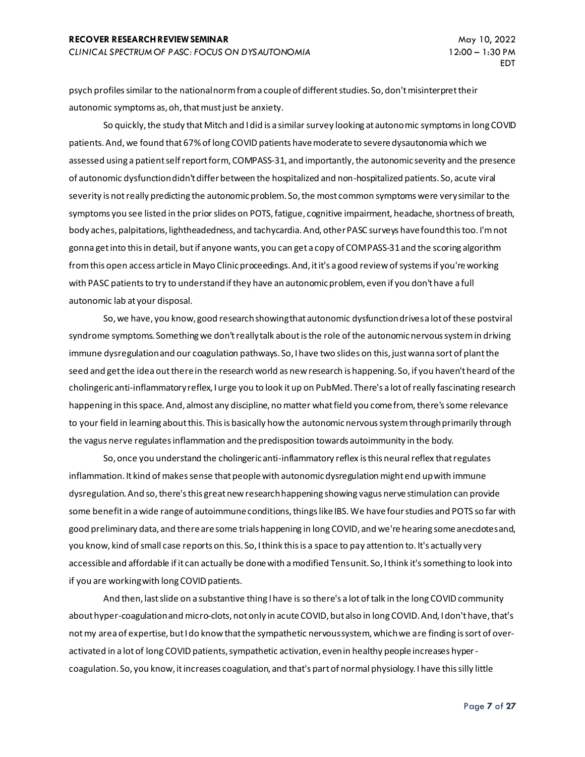psych profiles similar to the national norm from a couple of different studies. So, don't misinterpret their autonomic symptoms as, oh, that must just be anxiety.

So quickly, the study that Mitch and I did is a similar survey looking at autonomic symptoms in long COVID patients. And, we found that 67% of long COVID patients have moderate to severe dysautonomia which we assessed using a patient self report form, COMPASS-31, and importantly, the autonomic severity and the presence of autonomic dysfunction didn't differ between the hospitalized and non-hospitalized patients. So, acute viral severity is not really predicting the autonomic problem. So, the most common symptoms were very similar to the symptoms you see listed in the prior slides on POTS, fatigue, cognitive impairment, headache, shortness of breath, body aches, palpitations, lightheadedness, and tachycardia. And, other PASC surveys have found this too. I'm not gonna get into this in detail, but if anyone wants, you can get a copy of COMPASS-31 and the scoring algorithm from this open access article in Mayo Clinic proceedings. And, it it's a good review of systems if you're working with PASC patients to try to understand if they have an autonomic problem, even if you don't have a full autonomic lab at your disposal.

So, we have, you know, good research showing that autonomic dysfunction drives a lot of these postviral syndrome symptoms. Something we don't really talk about is the role of the autonomic nervous system in driving immune dysregulation and our coagulation pathways. So, I have two slides on this, just wanna sort of plant the seed and get the idea out there in the research world as new research is happening. So, if you haven't heard of the cholingeric anti-inflammatory reflex, I urge you to look it up on PubMed. There's a lot of really fascinating research happening in this space. And, almost any discipline, no matter what field you come from, there's some relevance to your field in learning about this. This is basically how the autonomic nervous system through primarily through the vagus nerve regulates inflammation and the predisposition towards autoimmunity in the body.

So, once you understand the cholingeric anti-inflammatory reflex is this neural reflex that regulates inflammation. It kind of makes sense that people with autonomic dysregulation might end up with immune dysregulation. And so, there's this great new research happening showing vagus nerve stimulation can provide some benefit in a wide range of autoimmune conditions, things like IBS. We have four studies and POTS so far with good preliminary data, and there are some trials happening in long COVID, and we're hearing some anecdotes and, you know, kind of small case reports on this. So, I think this is a space to pay attention to. It's actually very accessible and affordable if it can actually be done with a modified Tens unit. So, I think it's something to look into if you are working with long COVID patients.

And then, last slide on a substantive thing I have is so there's a lot of talk in the long COVID community about hyper-coagulation and micro-clots, not only in acute COVID, but also in long COVID. And, I don't have, that's not my area of expertise, but I do know that the sympathetic nervous system, which we are finding is sort of overactivated in a lot of long COVID patients, sympathetic activation, even in healthy people increases hypercoagulation. So, you know, it increases coagulation, and that's part of normal physiology. I have this silly little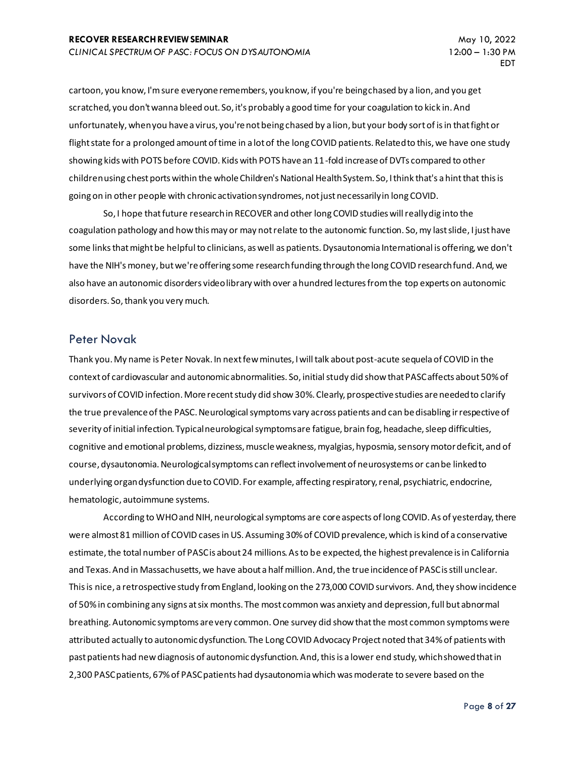cartoon, you know, I'm sure everyone remembers, you know, if you're being chased by a lion, and you get scratched, you don't wanna bleed out. So, it's probably a good time for your coagulation to kick in. And unfortunately, when you have a virus, you're not being chased by a lion, but your body sort of is in that fight or flight state for a prolonged amount of time in a lot of the long COVID patients. Related to this, we have one study showing kids with POTS before COVID. Kids with POTS have an 11-fold increase of DVTs compared to other children using chest ports within the whole Children's National Health System. So, I think that's a hint that this is going on in other people with chronic activation syndromes, not just necessarily in long COVID.

So, I hope that future research in RECOVER and other long COVID studies will really dig into the coagulation pathology and how this may or may not relate to the autonomic function. So, my last slide, I just have some links that might be helpful to clinicians, as well as patients. Dysautonomia International is offering, we don't have the NIH's money, but we're offering some research funding through the long COVID research fund. And, we also have an autonomic disorders video library with over a hundred lectures from the top experts on autonomic disorders. So, thank you very much.

#### Peter Novak

Thank you. My name is Peter Novak. In next few minutes, I will talk about post-acute sequela of COVID in the context of cardiovascular and autonomic abnormalities. So, initial study did show that PASC affects about 50% of survivors of COVID infection. More recent study did show 30%. Clearly, prospective studies are needed to clarify the true prevalence of the PASC. Neurological symptoms vary across patients and can be disabling irrespective of severity of initial infection. Typical neurological symptoms are fatigue, brain fog, headache, sleep difficulties, cognitive and emotional problems, dizziness, muscle weakness, myalgias, hyposmia, sensory motor deficit, and of course, dysautonomia. Neurological symptoms can reflect involvement of neurosystems or can be linked to underlying organ dysfunction due to COVID. For example, affecting respiratory, renal, psychiatric, endocrine, hematologic, autoimmune systems.

According to WHO and NIH, neurological symptoms are core aspects of long COVID. As of yesterday, there were almost 81 million of COVID cases in US. Assuming 30% of COVID prevalence, which is kind of a conservative estimate, the total number of PASC is about 24 millions. As to be expected, the highest prevalence is in California and Texas. And in Massachusetts, we have about a half million. And, the true incidence of PASC is still unclear. This is nice, a retrospective study from England, looking on the 273,000 COVID survivors. And, they show incidence of 50% in combining any signs at six months. The most common was anxiety and depression, full but abnormal breathing. Autonomic symptoms are very common. One survey did show that the most common symptoms were attributed actually to autonomic dysfunction. The Long COVID Advocacy Project noted that 34% of patients with past patients had new diagnosis of autonomic dysfunction. And, this is a lower end study, which showed that in 2,300 PASC patients, 67% of PASC patients had dysautonomia which was moderate to severe based on the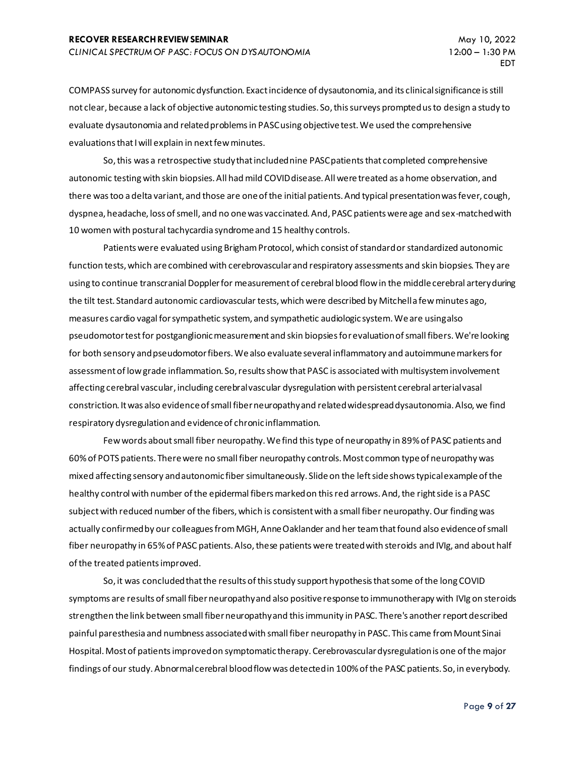COMPASS survey for autonomic dysfunction. Exact incidence of dysautonomia, and its clinical significance is still not clear, because a lack of objective autonomic testing studies. So, this surveys prompted us to design a study to evaluate dysautonomia and related problems in PASC using objective test. We used the comprehensive evaluations that I will explain in next few minutes.

So, this was a retrospective study that included nine PASC patients that completed comprehensive autonomic testing with skin biopsies. All had mild COVID disease. All were treated as a home observation, and there was too a delta variant, and those are one of the initial patients. And typical presentation was fever, cough, dyspnea, headache, loss of smell, and no one was vaccinated. And, PASC patients were age and sex-matched with 10 women with postural tachycardia syndrome and 15 healthy controls.

Patients were evaluated using Brigham Protocol, which consist of standard or standardized autonomic function tests, which are combined with cerebrovascular and respiratory assessments and skin biopsies. They are using to continue transcranial Doppler for measurement of cerebral blood flow in the middle cerebral artery during the tilt test. Standard autonomic cardiovascular tests, which were described by Mitchell a few minutes ago, measures cardio vagal for sympathetic system, and sympathetic audiologic system. We are using also pseudomotor test for postganglionic measurement and skin biopsies for evaluation of small fibers. We're looking for both sensory and pseudomotor fibers. We also evaluate several inflammatory and autoimmune markers for assessment of low grade inflammation. So, results show that PASC is associated with multisystem involvement affecting cerebral vascular, including cerebral vascular dysregulation with persistent cerebral arterial vasal constriction. It was also evidence of small fiber neuropathy and related widespread dysautonomia. Also, we find respiratory dysregulation and evidence of chronic inflammation.

Few words about small fiber neuropathy. We find this type of neuropathy in 89% of PASC patients and 60% of POTS patients. There were no small fiber neuropathy controls. Most common type of neuropathy was mixed affecting sensory and autonomic fiber simultaneously. Slide on the left side shows typical example of the healthy control with number of the epidermal fibers marked on this red arrows. And, the right side is a PASC subject with reduced number of the fibers, which is consistent with a small fiber neuropathy. Our finding was actually confirmed by our colleagues from MGH, Anne Oaklander and her team that found also evidence of small fiber neuropathy in 65% of PASC patients. Also, these patients were treated with steroids and IVIg, and about half of the treated patients improved.

So, it was concluded that the results of this study support hypothesis that some of the long COVID symptoms are results of small fiber neuropathy and also positive response to immunotherapy with IVIg on steroids strengthen the link between small fiber neuropathy and this immunity in PASC. There's another report described painful paresthesia and numbness associated with small fiber neuropathy in PASC. This came from Mount Sinai Hospital. Most of patients improved on symptomatic therapy. Cerebrovascular dysregulation is one of the major findings of our study. Abnormal cerebral blood flow was detected in 100% of the PASC patients. So, in everybody.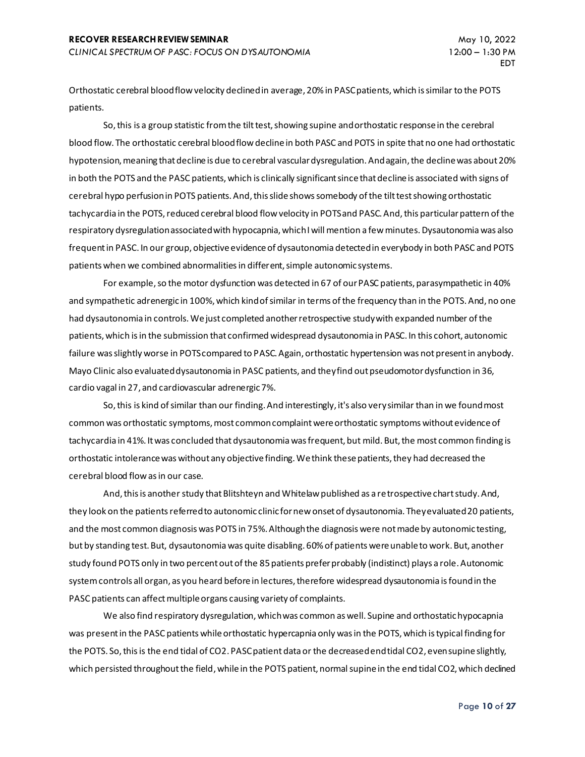Orthostatic cerebral blood flow velocity declined in average, 20% in PASC patients, which is similar to the POTS patients.

So, this is a group statistic from the tilt test, showing supine and orthostatic response in the cerebral blood flow. The orthostatic cerebral blood flow decline in both PASC and POTS in spite that no one had orthostatic hypotension, meaning that decline is due to cerebral vascular dysregulation. And again, the decline was about 20% in both the POTS and the PASC patients, which is clinically significant since that decline is associated with signs of cerebral hypo perfusion in POTS patients. And, this slide shows somebody of the tilt test showing orthostatic tachycardia in the POTS, reduced cerebral blood flow velocity in POTS and PASC. And, this particular pattern of the respiratory dysregulation associated with hypocapnia, which I will mention a few minutes. Dysautonomia was also frequent in PASC. In our group, objective evidence of dysautonomia detected in everybody in both PASC and POTS patients when we combined abnormalities in different, simple autonomic systems.

For example, so the motor dysfunction was detected in 67 of our PASC patients, parasympathetic in 40% and sympathetic adrenergic in 100%, which kind of similar in terms of the frequency than in the POTS. And, no one had dysautonomia in controls. We just completed another retrospective study with expanded number of the patients, which is in the submission that confirmed widespread dysautonomia in PASC. In this cohort, autonomic failure was slightly worse in POTS compared to PASC. Again, orthostatic hypertension was not present in anybody. Mayo Clinic also evaluated dysautonomia in PASC patients, and they find out pseudomotor dysfunction in 36, cardio vagal in 27, and cardiovascular adrenergic 7%.

So, this is kind of similar than our finding. And interestingly, it's also very similar than in we found most common was orthostatic symptoms, most common complaint were orthostatic symptoms without evidence of tachycardia in 41%. It was concluded that dysautonomia was frequent, but mild. But, the most common finding is orthostatic intolerance was without any objective finding. We think these patients, they had decreased the cerebral blood flow as in our case.

And, this is another study that Blitshteyn and Whitelaw published as a retrospective chart study. And, they look on the patients referred to autonomic clinic for new onset of dysautonomia. They evaluated 20 patients, and the most common diagnosis was POTS in 75%. Although the diagnosis were not made by autonomic testing, but by standing test. But, dysautonomia was quite disabling. 60% of patients were unable to work. But, another study found POTS only in two percent out of the 85 patients prefer probably (indistinct) plays a role. Autonomic system controls all organ, as you heard before in lectures, therefore widespread dysautonomia is found in the PASC patients can affect multiple organs causing variety of complaints.

We also find respiratory dysregulation, which was common as well. Supine and orthostatic hypocapnia was present in the PASC patients while orthostatic hypercapnia only was in the POTS, which is typical finding for the POTS. So, this is the end tidal of CO2. PASC patient data or the decreased end tidal CO2, even supine slightly, which persisted throughout the field, while in the POTS patient, normal supine in the end tidal CO2, which declined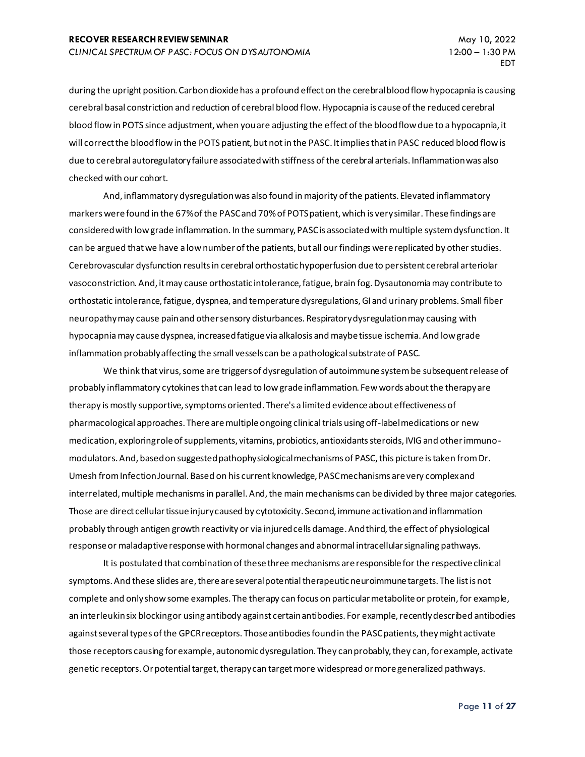during the upright position. Carbon dioxide has a profound effect on the cerebral blood flow hypocapnia is causing cerebral basal constriction and reduction of cerebral blood flow. Hypocapnia is cause of the reduced cerebral blood flow in POTS since adjustment, when you are adjusting the effect of the blood flow due to a hypocapnia, it will correct the blood flow in the POTS patient, but not in the PASC. It implies that in PASC reduced blood flow is due to cerebral autoregulatory failure associated with stiffness of the cerebral arterials. Inflammation was also checked with our cohort.

And, inflammatory dysregulation was also found in majority of the patients. Elevated inflammatory markers were found in the 67% of the PASC and 70% of POTS patient, which is very similar. These findings are considered with low grade inflammation. In the summary, PASC is associated with multiple system dysfunction. It can be argued that we have a low number of the patients, but all our findings were replicated by other studies. Cerebrovascular dysfunction results in cerebral orthostatic hypoperfusion due to persistent cerebral arteriolar vasoconstriction. And, it may cause orthostatic intolerance, fatigue, brain fog. Dysautonomia may contribute to orthostatic intolerance, fatigue, dyspnea, and temperature dysregulations, GI and urinary problems. Small fiber neuropathy may cause pain and other sensory disturbances. Respiratory dysregulation may causing with hypocapnia may cause dyspnea, increased fatigue via alkalosis and maybe tissue ischemia. And low grade inflammation probably affecting the small vessels can be a pathological substrate of PASC.

We think that virus, some are triggers of dysregulation of autoimmune system be subsequent release of probably inflammatory cytokines that can lead to low grade inflammation. Few words about the therapy are therapy is mostly supportive, symptoms oriented. There's a limited evidence about effectiveness of pharmacological approaches. There are multiple ongoing clinical trials using off-label medications or new medication, exploring role of supplements, vitamins, probiotics, antioxidants steroids, IVIG and other immunomodulators. And, based on suggested pathophysiological mechanisms of PASC, this picture is taken from Dr. Umesh from Infection Journal. Based on his current knowledge, PASC mechanisms are very complex and interrelated, multiple mechanisms in parallel. And, the main mechanisms can be divided by three major categories. Those are direct cellular tissue injury caused by cytotoxicity. Second, immune activation and inflammation probably through antigen growth reactivity or via injured cells damage. And third, the effect of physiological response or maladaptive response with hormonal changes and abnormal intracellular signaling pathways.

It is postulated that combination of these three mechanisms are responsible for the respective clinical symptoms. And these slides are, there are several potential therapeutic neuroimmune targets. The list is not complete and only show some examples. The therapy can focus on particular metabolite or protein, for example, an interleukin six blocking or using antibody against certain antibodies. For example, recently described antibodies against several types of the GPCR receptors. Those antibodies found in the PASC patients, they might activate those receptors causing for example, autonomic dysregulation. They can probably, they can, for example, activate genetic receptors. Or potential target, therapy can target more widespread or more generalized pathways.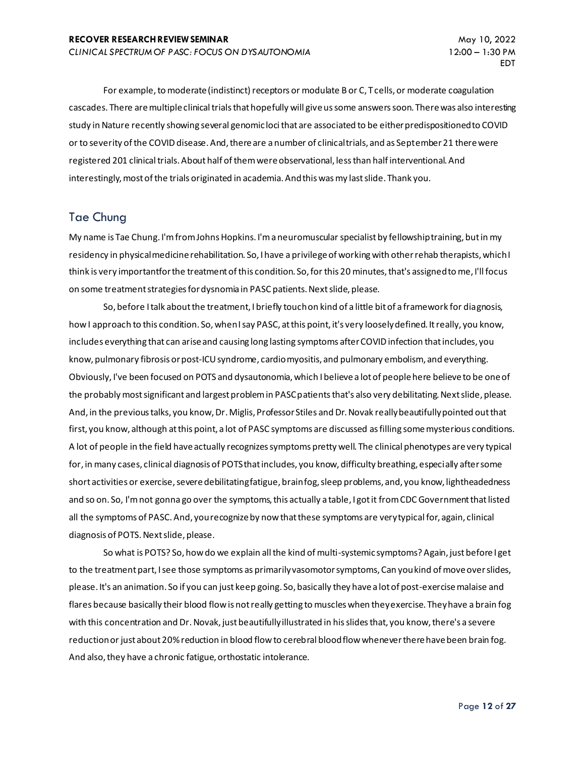For example, to moderate (indistinct) receptors or modulate B or C, T cells, or moderate coagulation cascades. There are multiple clinical trials that hopefully will give us some answers soon. There was also interesting study in Nature recently showing several genomic loci that are associated to be either predispositioned to COVID or to severity of the COVID disease. And, there are a number of clinical trials, and as September 21 there were registered 201 clinical trials. About half of them were observational, less than half interventional. And interestingly, most of the trials originated in academia. And this was my last slide. Thank you.

# Tae Chung

My name is Tae Chung. I'm from Johns Hopkins. I'm a neuromuscular specialist by fellowship training, but in my residency in physical medicine rehabilitation. So, I have a privilege of working with other rehab therapists, which I think is very importantfor the treatment of this condition. So, for this 20 minutes, that's assigned to me, I'll focus on some treatment strategies for dysnomia in PASC patients. Next slide, please.

So, before I talk about the treatment, I briefly touch on kind of a little bit of a framework for diagnosis, how I approach to this condition. So, when I say PASC, at this point, it's very loosely defined. It really, you know, includes everything that can arise and causing long lasting symptoms after COVID infection that includes, you know, pulmonary fibrosis or post-ICU syndrome, cardio myositis, and pulmonary embolism, and everything. Obviously, I've been focused on POTS and dysautonomia, which I believe a lot of people here believe to be one of the probably most significant and largest problem in PASC patients that's also very debilitating. Next slide, please. And, in the previous talks, you know, Dr. Miglis, Professor Stiles and Dr. Novak really beautifully pointed out that first, you know, although at this point, a lot of PASC symptoms are discussed as filling some mysterious conditions. A lot of people in the field have actually recognizes symptoms pretty well. The clinical phenotypes are very typical for, in many cases, clinical diagnosis of POTS that includes, you know, difficulty breathing, especially after some short activities or exercise, severe debilitating fatigue, brain fog, sleep problems, and, you know, lightheadedness and so on. So, I'm not gonna go over the symptoms, this actually a table, I got it from CDC Government that listed all the symptoms of PASC. And, you recognize by now that these symptoms are very typical for, again, clinical diagnosis of POTS. Next slide, please.

So what is POTS? So, how do we explain all the kind of multi-systemic symptoms? Again, just before I get to the treatment part, I see those symptoms as primarily vasomotor symptoms, Can you kind of move over slides, please. It's an animation. So if you can just keep going. So, basically they have a lot of post-exercise malaise and flares because basically their blood flow is not really getting to muscles when they exercise. They have a brain fog with this concentration and Dr. Novak, just beautifully illustrated in his slides that, you know, there's a severe reduction or just about 20% reduction in blood flow to cerebral blood flow whenever there have been brain fog. And also, they have a chronic fatigue, orthostatic intolerance.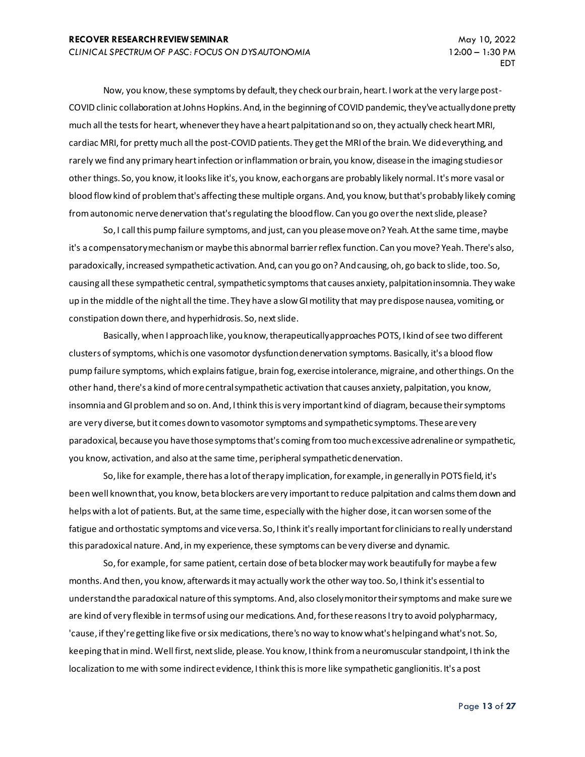Now, you know, these symptoms by default, they check our brain, heart. I work at the very large post-COVID clinic collaboration at Johns Hopkins. And, in the beginning of COVID pandemic, they've actually done pretty much all the tests for heart, whenever they have a heart palpitation and so on, they actually check heart MRI, cardiac MRI, for pretty much all the post-COVID patients. They get the MRI of the brain. We did everything, and rarely we find any primary heart infection or inflammation or brain, you know, disease in the imaging studies or other things. So, you know, it looks like it's, you know, each organs are probably likely normal. It's more vasal or blood flow kind of problem that's affecting these multiple organs. And, you know, but that's probably likely coming from autonomic nerve denervation that's regulating the blood flow. Can you go over the next slide, please?

So, I call this pump failure symptoms, and just, can you please move on? Yeah. At the same time, maybe it's a compensatory mechanism or maybe this abnormal barrier reflex function. Can you move? Yeah. There's also, paradoxically, increased sympathetic activation. And, can you go on? And causing, oh, go back to slide, too. So, causing all these sympathetic central, sympathetic symptoms that causes anxiety, palpitation insomnia. They wake up in the middle of the night all the time. They have a slow GI motility that may predispose nausea, vomiting, or constipation down there, and hyperhidrosis. So, next slide.

Basically, when I approach like, you know, therapeutically approaches POTS, I kind of see two different clusters of symptoms, which is one vasomotor dysfunction denervation symptoms. Basically, it's a blood flow pump failure symptoms, which explains fatigue, brain fog, exercise intolerance, migraine, and other things. On the other hand, there's a kind of more central sympathetic activation that causes anxiety, palpitation, you know, insomnia and GI problem and so on. And, I think this is very important kind of diagram, because their symptoms are very diverse, but it comes down to vasomotor symptoms and sympathetic symptoms. These are very paradoxical, because you have those symptoms that's coming from too much excessive adrenaline or sympathetic, you know, activation, and also at the same time, peripheral sympathetic denervation.

So, like for example, there has a lot of therapy implication, for example, in generally in POTS field, it's been well known that, you know, beta blockers are very important to reduce palpitation and calms them down and helps with a lot of patients. But, at the same time, especially with the higher dose, it can worsen some of the fatigue and orthostatic symptoms and vice versa. So, I think it's really important for clinicians to really understand this paradoxical nature. And, in my experience, these symptoms can be very diverse and dynamic.

So, for example, for same patient, certain dose of beta blocker may work beautifully for maybe a few months. And then, you know, afterwards it may actually work the other way too. So, I think it's essential to understand the paradoxical nature of this symptoms. And, also closely monitor their symptoms and make sure we are kind of very flexible in terms of using our medications. And, for these reasons I try to avoid polypharmacy, 'cause, if they're getting like five or six medications, there's no way to know what's helping and what's not. So, keeping that in mind. Well first, next slide, please. You know, I think from a neuromuscular standpoint, I think the localization to me with some indirect evidence, I think this is more like sympathetic ganglionitis. It's a post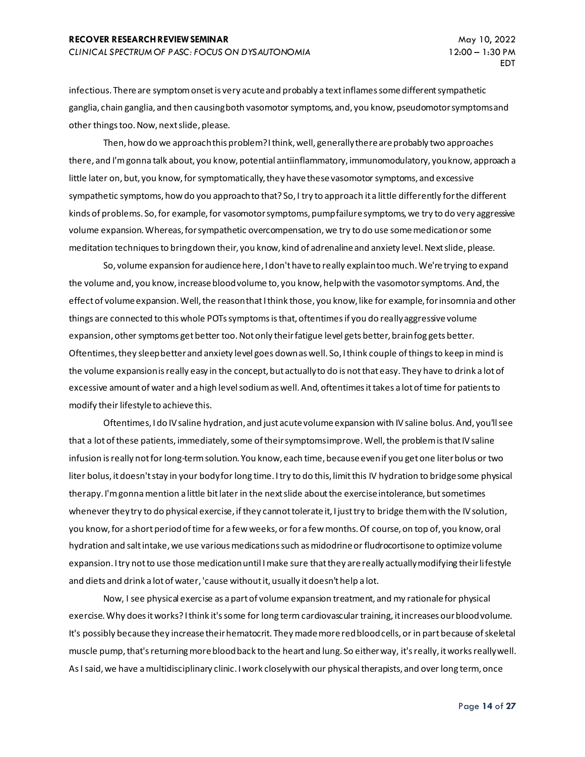infectious. There are symptom onset is very acute and probably a text inflames some different sympathetic ganglia, chain ganglia, and then causing both vasomotor symptoms, and, you know, pseudomotor symptoms and other things too. Now, next slide, please.

Then, how do we approach this problem? I think, well, generally there are probably two approaches there, and I'm gonna talk about, you know, potential antiinflammatory, immunomodulatory, you know, approach a little later on, but, you know, for symptomatically, they have these vasomotor symptoms, and excessive sympathetic symptoms, how do you approach to that? So, I try to approach it a little differently for the different kinds of problems. So, for example, for vasomotor symptoms, pump failure symptoms, we try to do very aggressive volume expansion. Whereas, for sympathetic overcompensation, we try to do use some medication or some meditation techniques to bring down their, you know, kind of adrenaline and anxiety level. Next slide, please.

So, volume expansion for audience here, I don't have to really explain too much. We're trying to expand the volume and, you know, increase blood volume to, you know, help with the vasomotor symptoms. And, the effect of volume expansion. Well, the reason that I think those, you know, like for example, for insomnia and other things are connected to this whole POTs symptoms is that, oftentimes if you do really aggressive volume expansion, other symptoms get better too. Not only their fatigue level gets better, brain fog gets better. Oftentimes, they sleep better and anxiety level goes down as well. So, I think couple of things to keep in mind is the volume expansion is really easy in the concept, but actually to do is not that easy. They have to drink a lot of excessive amount of water and a high level sodium as well. And, oftentimes it takes a lot of time for patients to modify their lifestyle to achieve this.

Oftentimes, I do IV saline hydration, and just acute volume expansion with IV saline bolus. And, you'll see that a lot of these patients, immediately, some of their symptoms improve. Well, the problem is that IV saline infusion is really not for long-term solution. You know, each time, because even if you get one liter bolus or two liter bolus, it doesn't stay in your body for long time. I try to do this, limit this IV hydration to bridge some physical therapy. I'm gonna mention a little bit later in the next slide about the exercise intolerance, but sometimes whenever they try to do physical exercise, if they cannot tolerate it, I just try to bridge them with the IV solution, you know, for a short period of time for a few weeks, or for a few months. Of course, on top of, you know, oral hydration and salt intake, we use various medications such as midodrine or fludrocortisone to optimize volume expansion. I try not to use those medication until I make sure that they are really actually modifying their lifestyle and diets and drink a lot of water, 'cause without it, usually it doesn't help a lot.

Now, I see physical exercise as a part of volume expansion treatment, and my rationale for physical exercise. Why does it works? I think it's some for long term cardiovascular training, it increases our blood volume. It's possibly because they increase their hematocrit. They made more red blood cells, or in part because of skeletal muscle pump, that's returning more blood back to the heart and lung. So either way, it's really, it works really well. As I said, we have a multidisciplinary clinic. I work closely with our physical therapists, and over long term, once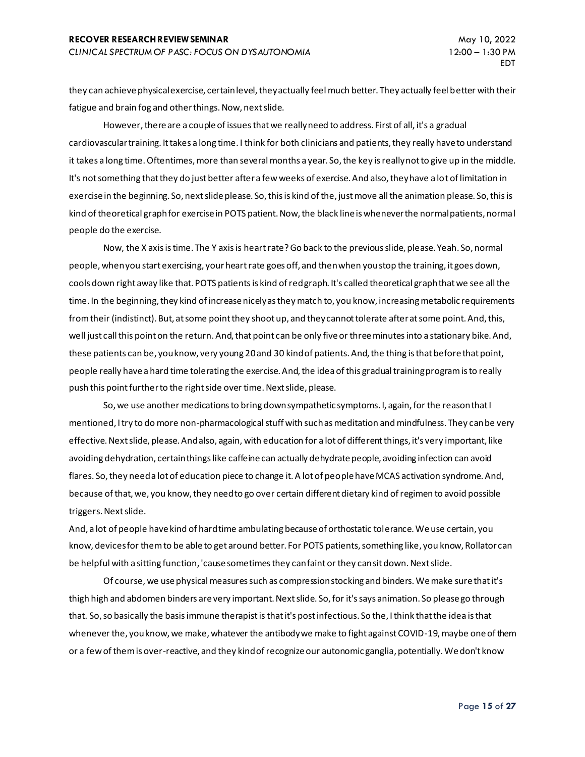they can achieve physical exercise, certain level, they actually feel much better. They actually feel better with their fatigue and brain fog and other things. Now, next slide.

However, there are a couple of issues that we really need to address. First of all, it's a gradual cardiovascular training. It takes a long time. I think for both clinicians and patients, they really have to understand it takes a long time. Oftentimes, more than several months a year. So, the key is really not to give up in the middle. It's not something that they do just better after a few weeks of exercise. And also, they have a lot of limitation in exercise in the beginning. So, next slide please. So, this is kind of the, just move all the animation please. So, this is kind of theoretical graph for exercise in POTS patient. Now, the black line is whenever the normal patients, normal people do the exercise.

Now, the X axis is time. The Y axis is heart rate? Go back to the previous slide, please. Yeah. So, normal people, when you start exercising, your heart rate goes off, and then when you stop the training, it goes down, cools down right away like that. POTS patients is kind of red graph. It's called theoretical graph that we see all the time. In the beginning, they kind of increase nicely as they match to, you know, increasing metabolic requirements from their (indistinct). But, at some point they shoot up, and they cannot tolerate after at some point. And, this, well just call this point on the return. And, that point can be only five or three minutes into a stationary bike. And, these patients can be, you know, very young 20 and 30 kind of patients. And, the thing is that before that point, people really have a hard time tolerating the exercise. And, the idea of this gradual training program is to really push this point further to the right side over time. Next slide, please.

So,we use another medications to bring down sympathetic symptoms. I, again, for the reason that I mentioned, I try to do more non-pharmacological stuff with such as meditation and mindfulness. They can be very effective. Next slide, please. And also, again, with education for a lot of different things, it's very important, like avoiding dehydration, certain things like caffeine can actually dehydrate people, avoiding infection can avoid flares. So, they need a lot of education piece to change it. A lot of people have MCAS activation syndrome. And, because of that, we, you know, they need to go over certain different dietary kind of regimen to avoid possible triggers. Next slide.

And, a lot of people have kind of hard time ambulating because of orthostatic tolerance. We use certain, you know, devices for them to be able to get around better. For POTS patients, something like, you know, Rollator can be helpful with a sitting function, 'cause sometimes they can faint or they can sit down. Next slide.

Of course, we use physical measures such as compression stocking and binders. We make sure that it's thigh high and abdomen binders are very important. Next slide. So, for it's says animation. So please go through that. So, so basically the basis immune therapist is that it's post infectious. So the, I think that the idea is that whenever the, you know, we make, whatever the antibody we make to fight against COVID-19, maybe one of them or a few of them is over-reactive, and they kind of recognize our autonomic ganglia, potentially. We don't know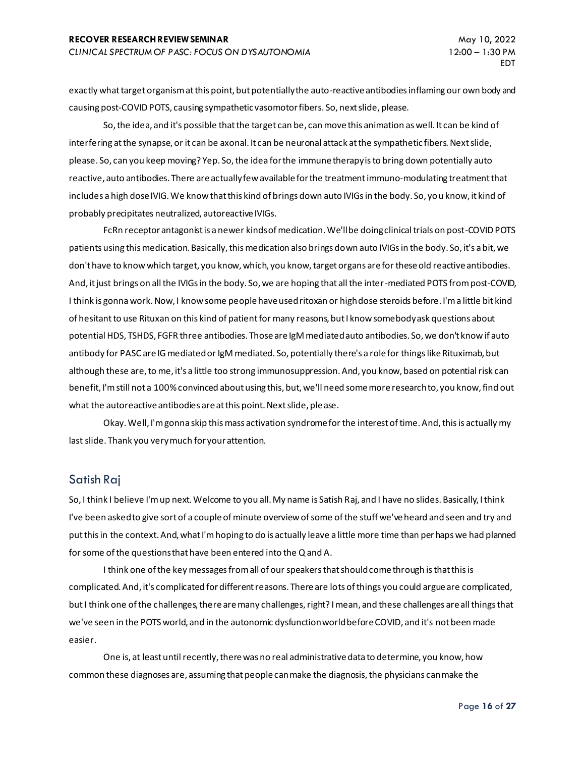exactly what target organism at this point, but potentially the auto-reactive antibodies inflaming our own body and causing post-COVID POTS, causing sympathetic vasomotor fibers. So, next slide, please.

So, the idea, and it's possible that the target can be, can move this animation as well. It can be kind of interfering at the synapse, or it can be axonal. It can be neuronal attack at the sympathetic fibers. Next slide, please. So, can you keep moving? Yep. So, the idea for the immune therapy is to bring down potentially auto reactive, auto antibodies. There are actually few available for the treatment immuno-modulating treatment that includes a high dose IVIG. We know that this kind of brings down auto IVIGs in the body. So, you know, it kind of probably precipitates neutralized, autoreactive IVIGs.

FcRn receptor antagonist is a newer kinds of medication. We'll be doing clinical trials on post-COVID POTS patients using this medication. Basically, this medication also brings down auto IVIGs in the body. So, it's a bit, we don't have to know which target, you know, which, you know, target organs are for these old reactive antibodies. And, it just brings on all the IVIGs in the body. So, we are hoping that all the inter-mediated POTS from post-COVID, I think is gonna work. Now, I know some people have used ritoxan or high dose steroids before. I'm a little bit kind of hesitant to use Rituxan on this kind of patient for many reasons, but I know somebody ask questions about potential HDS, TSHDS, FGFR three antibodies. Those are IgM mediated auto antibodies. So, we don't know if auto antibody for PASC are IG mediated or IgM mediated. So, potentially there's a role for things like Rituximab, but although these are, to me, it's a little too strong immunosuppression. And, you know, based on potential risk can benefit, I'm still not a 100% convinced about using this, but, we'll need some more research to, you know, find out what the autoreactive antibodies are at this point. Next slide, please.

Okay. Well, I'm gonna skip this mass activation syndrome for the interest of time. And, this is actually my last slide. Thank you very much for your attention.

# Satish Raj

So, I think I believe I'm up next. Welcome to you all. My name is Satish Raj, and I have no slides. Basically, I think I've been asked to give sort of a couple of minute overview of some of the stuff we've heard and seen and try and put this in the context. And, what I'm hoping to do is actually leave a little more time than perhaps we had planned for some of the questions that have been entered into the Q and A.

I think one of the key messages from all of our speakers that should come through is that this is complicated. And, it's complicated for different reasons. There are lots of things you could argue are complicated, but I think one of the challenges, there are many challenges, right? I mean, and these challenges are all things that we've seen in the POTS world, and in the autonomic dysfunction world before COVID, and it's not been made easier.

One is, at least until recently, there was no real administrative data to determine, you know, how common these diagnoses are, assuming that people can make the diagnosis, the physicians can make the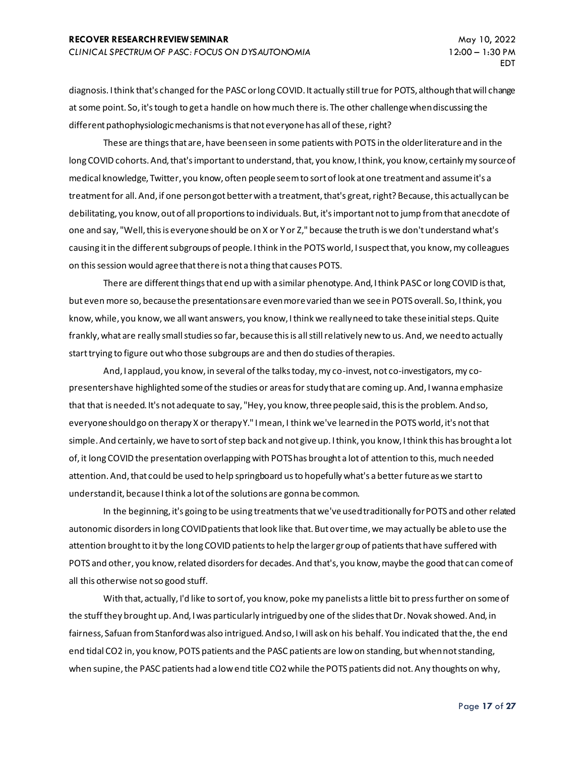diagnosis. I think that's changed for the PASC or long COVID. It actually still true for POTS, although that will change at some point. So, it's tough to get a handle on how much there is. The other challenge when discussing the different pathophysiologic mechanisms is that not everyone has all of these, right?

These are things that are, have been seen in some patients with POTS in the older literature and in the long COVID cohorts. And, that's important to understand, that, you know, I think, you know, certainly my source of medical knowledge, Twitter, you know, often people seem to sort of look at one treatment and assume it's a treatment for all. And, if one person got better with a treatment, that's great, right? Because, this actually can be debilitating, you know, out of all proportions to individuals. But, it's important not to jump from that anecdote of one and say, "Well, this is everyone should be on X or Y or Z," because the truth is we don't understand what's causing it in the different subgroups of people. I think in the POTS world, I suspect that, you know, my colleagues on this session would agree that there is not a thing that causes POTS.

There are different things that end up with a similar phenotype. And, I think PASC or long COVID is that, but even more so, because the presentations are even more varied than we see in POTS overall. So, I think, you know, while, you know, we all want answers, you know, I think we really need to take these initial steps. Quite frankly, what are really small studies so far, because this is all still relatively new to us. And, we need to actually start trying to figure out who those subgroups are and then do studies of therapies.

And, I applaud, you know, in several of the talks today, my co-invest, not co-investigators, my copresenters have highlighted some of the studies or areas for study that are coming up. And, I wanna emphasize that that is needed. It's not adequate to say, "Hey, you know, three people said, this is the problem. And so, everyone should go on therapy X or therapy Y." I mean, I think we've learned in the POTS world, it's not that simple. And certainly, we have to sort of step back and not give up. I think, you know, I think this has brought a lot of, it long COVID the presentation overlapping with POTS has brought a lot of attention to this, much needed attention. And, that could be used to help springboard us to hopefully what's a better future as we start to understand it, because I think a lot of the solutions are gonna be common.

In the beginning, it's going to be using treatments that we've used traditionally for POTS and other related autonomic disorders in long COVID patients that look like that. But over time, we may actually be able to use the attention brought to it by the long COVID patients to help the larger group of patients that have suffered with POTS and other, you know, related disorders for decades. And that's, you know, maybe the good that can come of all this otherwise not so good stuff.

With that, actually, I'd like to sort of, you know, poke my panelists a little bit to press further on some of the stuff they brought up. And, I was particularly intrigued by one of the slides that Dr. Novak showed. And, in fairness, Safuan from Stanford was also intrigued. And so, I will ask on his behalf. You indicated that the, the end end tidal CO2 in, you know, POTS patients and the PASC patients are low on standing, but when not standing, when supine, the PASC patients had a low end title CO2 while the POTS patients did not. Any thoughts on why,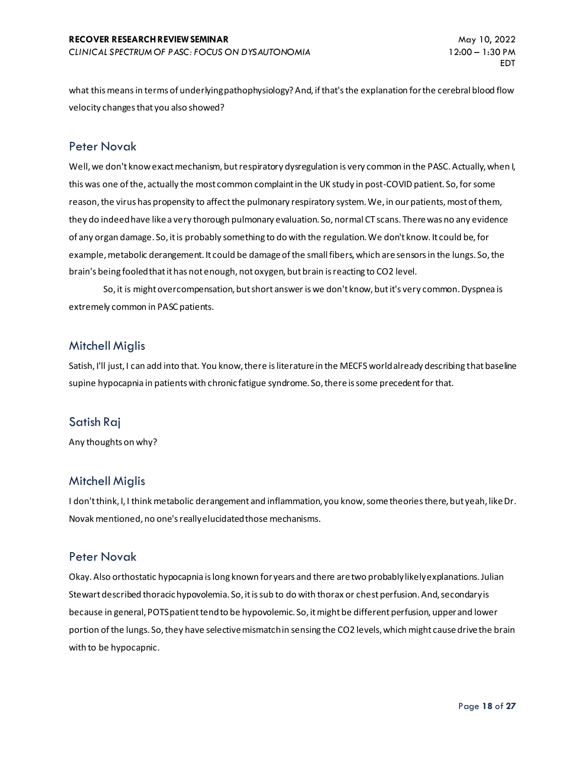what this means in terms of underlying pathophysiology? And, if that's the explanation for the cerebral blood flow velocity changes that you also showed?

#### Peter Novak

Well, we don't know exact mechanism, but respiratory dysregulation is very common in the PASC. Actually, when I, this was one of the, actually the most common complaint in the UK study in post-COVID patient. So, for some reason, the virus has propensity to affect the pulmonary respiratory system. We, in our patients, most of them, they do indeed have like a very thorough pulmonary evaluation. So, normal CT scans. There was no any evidence of any organ damage. So, it is probably something to do with the regulation. We don't know. It could be, for example, metabolic derangement. It could be damage of the small fibers, which are sensors in the lungs. So, the brain's being fooled that it has not enough, not oxygen, but brain is reacting to CO2 level.

So, it is might overcompensation, but short answer is we don't know, but it's very common. Dyspnea is extremely common in PASC patients.

# Mitchell Miglis

Satish, I'll just, I can add into that. You know, there is literature in the MECFS world already describing that baseline supine hypocapnia in patients with chronic fatigue syndrome. So, there is some precedent for that.

# Satish Raj

Any thoughts on why?

# Mitchell Miglis

I don't think, I, I think metabolic derangement and inflammation, you know, some theories there, but yeah, like Dr. Novak mentioned, no one's really elucidated those mechanisms.

#### Peter Novak

Okay. Also orthostatic hypocapnia is long known for years and there are two probably likely explanations. Julian Stewart described thoracic hypovolemia. So, it is sub to do with thorax or chest perfusion. And, secondary is because in general, POTS patient tend to be hypovolemic. So, it might be different perfusion, upper and lower portion of the lungs. So, they have selective mismatch in sensing the CO2 levels, which might cause drive the brain with to be hypocapnic.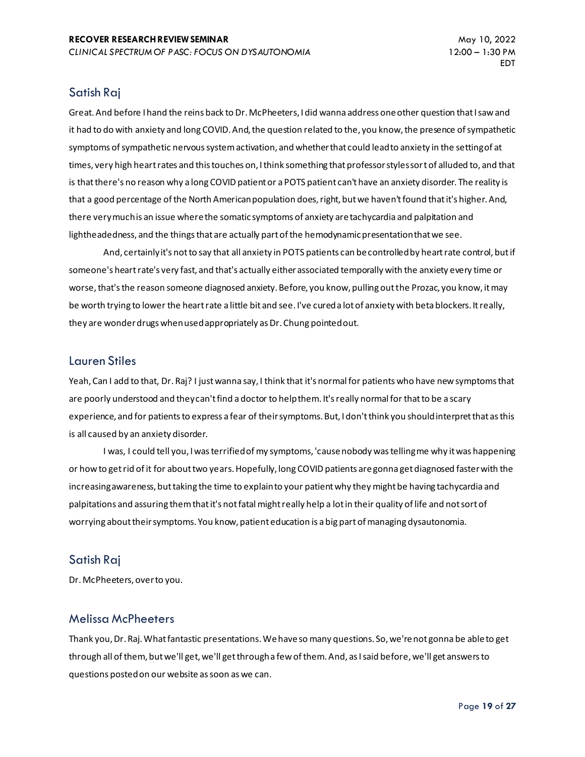# Satish Raj

Great. And before I hand the reins back to Dr. McPheeters, I did wanna address one other question that I saw and it had to do with anxiety and long COVID. And, the question related to the, you know, the presence of sympathetic symptoms of sympathetic nervous system activation, and whether that could lead to anxiety in the setting of at times, very high heart rates and this touches on, I think something that professor styles sort of alluded to, and that is that there's no reason why a long COVID patient or a POTS patient can't have an anxiety disorder. The reality is that a good percentage of the North American population does, right, but we haven't found that it's higher. And, there very much is an issue where the somatic symptoms of anxiety are tachycardia and palpitation and lightheadedness, and the things that are actually part of the hemodynamic presentation that we see.

And, certainly it's not to say that all anxiety in POTS patients can be controlled by heart rate control, but if someone's heart rate's very fast, and that's actually either associated temporally with the anxiety every time or worse, that's the reason someone diagnosed anxiety. Before, you know, pulling out the Prozac, you know, it may be worth trying to lower the heart rate a little bit and see. I've cured a lot of anxiety with beta blockers. It really, they are wonder drugs when used appropriately as Dr. Chung pointed out.

#### Lauren Stiles

Yeah, Can I add to that, Dr. Raj? I just wanna say, I think that it's normal for patients who have new symptoms that are poorly understood and they can't find a doctor to help them. It's really normal for that to be a scary experience, and for patients to express a fear of their symptoms. But, I don't think you should interpret that as this is all caused by an anxiety disorder.

I was, I could tell you, I was terrified of my symptoms, 'cause nobody was telling me why it was happening or how to get rid of it for about two years. Hopefully, long COVID patients are gonna get diagnosed faster with the increasing awareness, but taking the time to explain to your patient why they might be having tachycardia and palpitations and assuring them that it's not fatal might really help a lot in their quality of life and not sort of worrying about their symptoms. You know, patient education is a big part of managing dysautonomia.

# Satish Raj

Dr. McPheeters, over to you.

# Melissa McPheeters

Thank you, Dr. Raj. What fantastic presentations. We have so many questions. So, we're not gonna be able to get through all of them, but we'll get, we'll get through a few of them. And, as I said before, we'll get answers to questions posted on our website as soon as we can.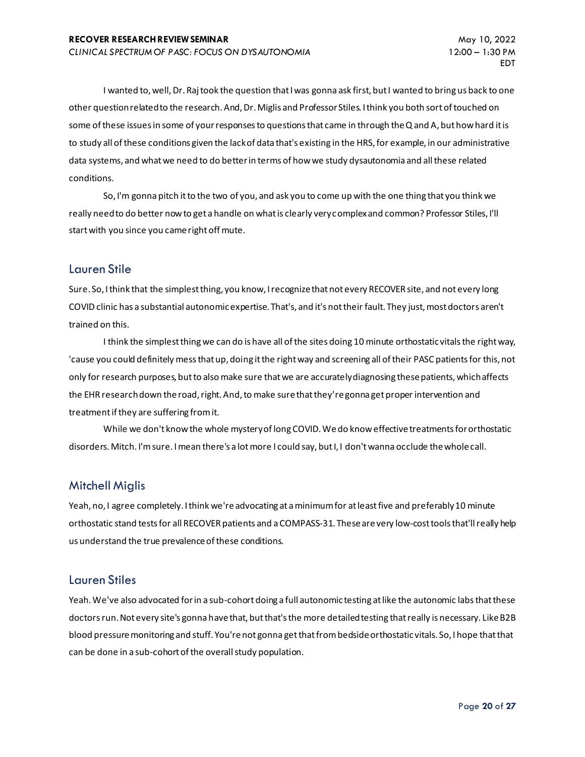I wanted to, well, Dr. Raj took the question that I was gonna ask first, but I wanted to bring us back to one other question related to the research. And, Dr. Miglis and Professor Stiles. I think you both sort of touched on some of these issues in some of your responses to questions that came in through the Q and A, but how hard it is to study all of these conditions given the lack of data that's existing in the HRS, for example, in our administrative data systems, and what we need to do better in terms of how we study dysautonomia and all these related conditions.

So, I'm gonna pitch it to the two of you, and ask you to come up with the one thing that you think we really need to do better now to get a handle on what is clearly very complex and common? Professor Stiles, I'll start with you since you came right off mute.

#### Lauren Stile

Sure. So, I think that the simplest thing, you know, I recognize that not every RECOVER site, and not every long COVID clinic has a substantial autonomic expertise. That's, and it's not their fault. They just, most doctors aren't trained on this.

I think the simplest thing we can do is have all of the sites doing 10 minute orthostatic vitals the right way, 'cause you could definitely mess that up, doing it the right way and screening all of their PASC patients for this, not only for research purposes, but to also make sure that we are accurately diagnosing these patients, which affects the EHR research down the road, right. And, to make sure that they're gonna get proper intervention and treatment if they are suffering from it.

While we don't know the whole mystery of long COVID. We do know effective treatments for orthostatic disorders. Mitch. I'm sure. I mean there's a lot more I could say, but I, I don't wanna occlude the whole call.

# Mitchell Miglis

Yeah, no, I agree completely. I think we're advocating at a minimum for at least five and preferably 10 minute orthostatic stand tests for all RECOVER patients and a COMPASS-31. These are very low-cost tools that'll really help us understand the true prevalence of these conditions.

# Lauren Stiles

Yeah. We've also advocated for in a sub-cohort doing a full autonomic testing at like the autonomic labs that these doctors run. Not every site's gonna have that, but that's the more detailed testing that really is necessary. Like B2B blood pressure monitoring and stuff. You're not gonna get that from bedside orthostatic vitals. So, I hope that that can be done in a sub-cohort of the overall study population.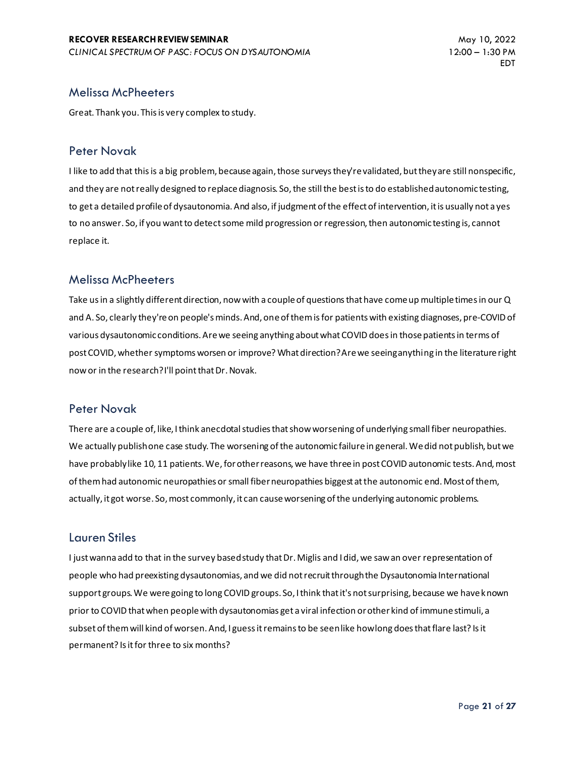#### Melissa McPheeters

Great. Thank you. This is very complex to study.

#### Peter Novak

I like to add that this is a big problem, because again, those surveys they're validated, but they are still nonspecific, and they are not really designed to replace diagnosis. So, the still the best is to do established autonomic testing, to get a detailed profile of dysautonomia. And also, if judgment of the effect of intervention, it is usually not a yes to no answer. So, if you want to detect some mild progression or regression, then autonomic testing is, cannot replace it.

# Melissa McPheeters

Take us in a slightly different direction, now with a couple of questions that have come up multiple times in our Q and A. So, clearly they're on people's minds. And, one of them is for patients with existing diagnoses, pre-COVID of various dysautonomic conditions. Are we seeing anything about what COVID does in those patients in terms of post COVID, whether symptoms worsen or improve? What direction? Are we seeing anything in the literature right now or in the research? I'll point that Dr. Novak.

# Peter Novak

There are a couple of, like, I think anecdotal studies that show worsening of underlying small fiber neuropathies. We actually publish one case study. The worsening of the autonomic failure in general. We did not publish, but we have probably like 10, 11 patients. We, for other reasons, we have three in post COVID autonomic tests. And, most of them had autonomic neuropathies or small fiber neuropathies biggest at the autonomic end. Most of them, actually, it got worse. So, most commonly, it can cause worsening of the underlying autonomic problems.

# Lauren Stiles

I just wanna add to that in the survey based study that Dr. Miglis and I did, we saw an over representation of people who had preexisting dysautonomias, and we did not recruit through the Dysautonomia International support groups. We were going to long COVID groups. So, I think that it's not surprising, because we have known prior to COVID that when people with dysautonomias get a viral infection or other kind of immune stimuli, a subset of them will kind of worsen. And, I guess it remains to be seen like how long does that flare last? Is it permanent? Is it for three to six months?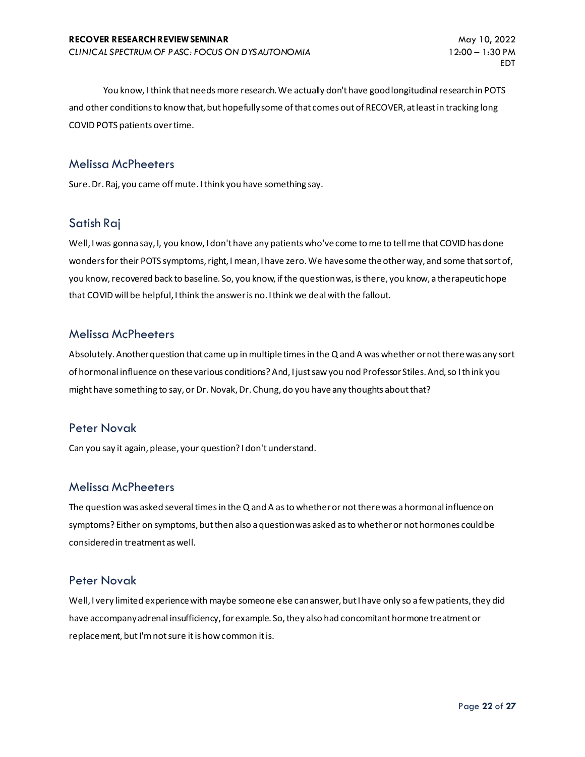You know, I think that needs more research. We actually don't have good longitudinal research in POTS and other conditions to know that, but hopefully some of that comes out of RECOVER, at least in tracking long COVID POTS patients over time.

# Melissa McPheeters

Sure. Dr. Raj, you came off mute. I think you have something say.

# Satish Raj

Well, I was gonna say, I, you know, I don't have any patients who've come to me to tell me that COVID has done wonders for their POTS symptoms, right, I mean, I have zero. We have some the other way, and some that sort of, you know, recovered back to baseline. So, you know, if the question was, is there, you know, a therapeutic hope that COVID will be helpful, I think the answer is no. I think we deal with the fallout.

#### Melissa McPheeters

Absolutely. Another question that came up in multiple times in the Q and A was whether or not there was any sort of hormonal influence on these various conditions? And, I just saw you nod Professor Stiles. And, so I think you might have something to say, or Dr. Novak, Dr. Chung, do you have any thoughts about that?

# Peter Novak

Can you say it again, please, your question? I don't understand.

#### Melissa McPheeters

The question was asked several times in the Q and A as to whether or not there was a hormonal influence on symptoms? Either on symptoms, but then also a question was asked as to whether or not hormones could be considered in treatment as well.

#### Peter Novak

Well, I very limited experience with maybe someone else can answer, but I have only so a few patients, they did have accompany adrenal insufficiency, for example. So, they also had concomitant hormone treatment or replacement, but I'm not sure it is how common it is.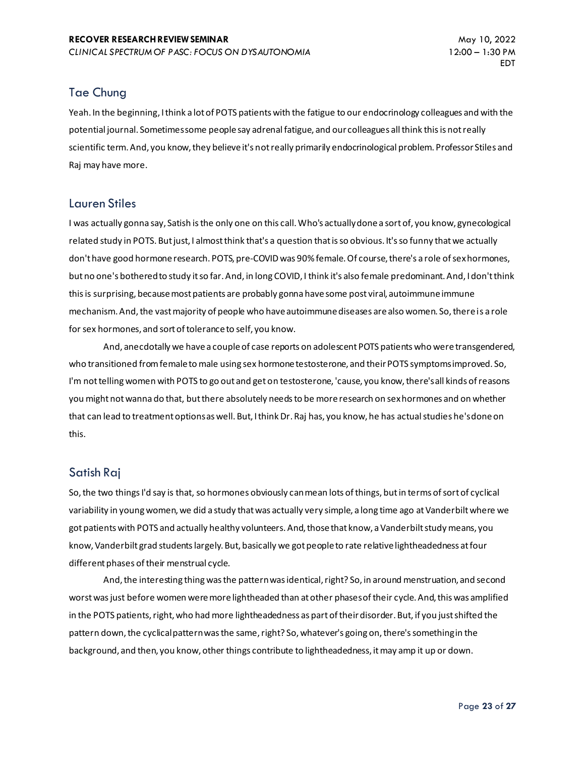# Tae Chung

Yeah. In the beginning, I think a lot of POTS patients with the fatigue to our endocrinology colleagues and with the potential journal. Sometimes some people say adrenal fatigue, and our colleagues all think this is not really scientific term. And, you know, they believe it's not really primarily endocrinological problem. Professor Stiles and Raj may have more.

# Lauren Stiles

I was actually gonna say, Satish is the only one on this call. Who's actually done a sort of, you know, gynecological related study in POTS. But just, I almost think that's a question that is so obvious. It's so funny that we actually don't have good hormone research. POTS, pre-COVID was 90% female. Of course, there's a role of sex hormones, but no one's bothered to study it so far. And, in long COVID, I think it's also female predominant. And, I don't think this is surprising, because most patients are probably gonna have some post viral, autoimmune immune mechanism. And, the vast majority of people who have autoimmune diseases are also women. So, there is a role for sex hormones, and sort of tolerance to self, you know.

And, anecdotally we have a couple of case reports on adolescent POTS patients who were transgendered, who transitioned from female to male using sex hormone testosterone, and their POTS symptoms improved. So, I'm not telling women with POTS to go out and get on testosterone, 'cause, you know, there's all kinds of reasons you might not wanna do that, but there absolutely needs to be more research on sex hormones and on whether that can lead to treatment options as well. But, I think Dr. Raj has, you know, he has actual studies he's done on this.

# Satish Raj

So, the two things I'd say is that, so hormones obviously can mean lots of things, but in terms of sort of cyclical variability in young women, we did a study that was actually very simple, a long time ago at Vanderbilt where we got patients with POTS and actually healthy volunteers. And, those that know, a Vanderbilt study means, you know, Vanderbilt grad students largely. But, basically we got people to rate relative lightheadedness at four different phases of their menstrual cycle.

And, the interesting thing was the pattern was identical, right? So, in around menstruation, and second worst was just before women were more lightheaded than at other phases of their cycle. And, this was amplified in the POTS patients, right, who had more lightheadedness as part of their disorder. But, if you just shifted the pattern down, the cyclical pattern was the same, right? So, whatever's going on, there's something in the background, and then, you know, other things contribute to lightheadedness, it may amp it up or down.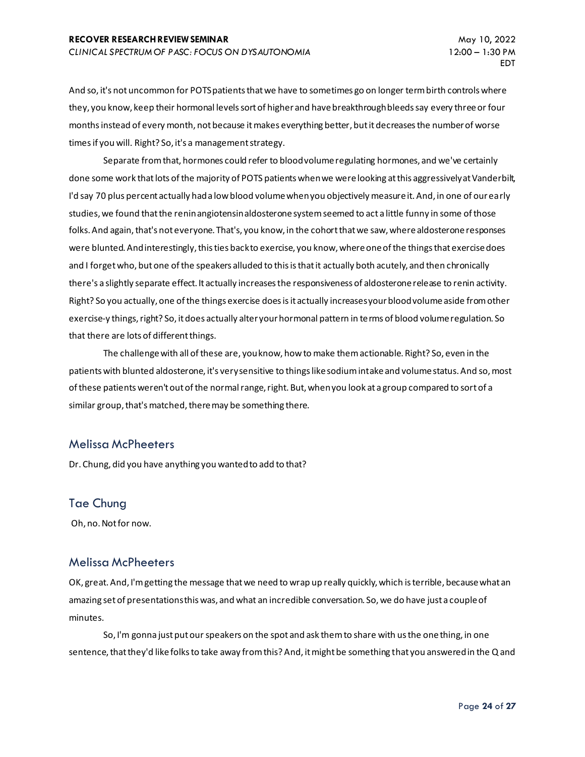And so, it's not uncommon for POTS patients that we have to sometimes go on longer term birth controls where they, you know, keep their hormonal levels sort of higher and have breakthrough bleeds say every three or four months instead of every month, not because it makes everything better, but it decreases the number of worse times if you will. Right? So, it's a management strategy.

Separate from that, hormones could refer to blood volume regulating hormones, and we've certainly done some work that lots of the majority of POTS patients when we were looking at this aggressively at Vanderbilt, I'd say 70 plus percent actually had a low blood volume when you objectively measure it. And, in one of our early studies, we found that the renin angiotensin aldosterone system seemed to act a little funny in some of those folks. And again, that's not everyone. That's, you know, in the cohort that we saw, where aldosterone responses were blunted. And interestingly, this ties back to exercise, you know, where one of the things that exercise does and I forget who, but one of the speakers alluded to this is that it actually both acutely, and then chronically there's a slightly separate effect. It actually increases the responsiveness of aldosterone release to renin activity. Right? So you actually, one of the things exercise does is it actually increases your blood volume aside from other exercise-y things, right? So, it does actually alter your hormonal pattern in terms of blood volume regulation. So that there are lots of different things.

The challenge with all of these are, you know, how to make them actionable. Right? So, even in the patients with blunted aldosterone, it's very sensitive to things like sodium intake and volume status. And so, most of these patients weren't out of the normal range, right. But, when you look at a group compared to sort of a similar group, that's matched, there may be something there.

#### Melissa McPheeters

Dr. Chung, did you have anything you wanted to add to that?

# Tae Chung

Oh, no. Not for now.

# Melissa McPheeters

OK, great. And, I'm getting the message that we need to wrap up really quickly, which is terrible, because what an amazing set of presentations this was, and what an incredible conversation. So, we do have just a couple of minutes.

So, I'm gonna just put our speakers on the spot and ask them to share with us the one thing, in one sentence, that they'd like folks to take away from this? And, it might be something that you answered in the Q and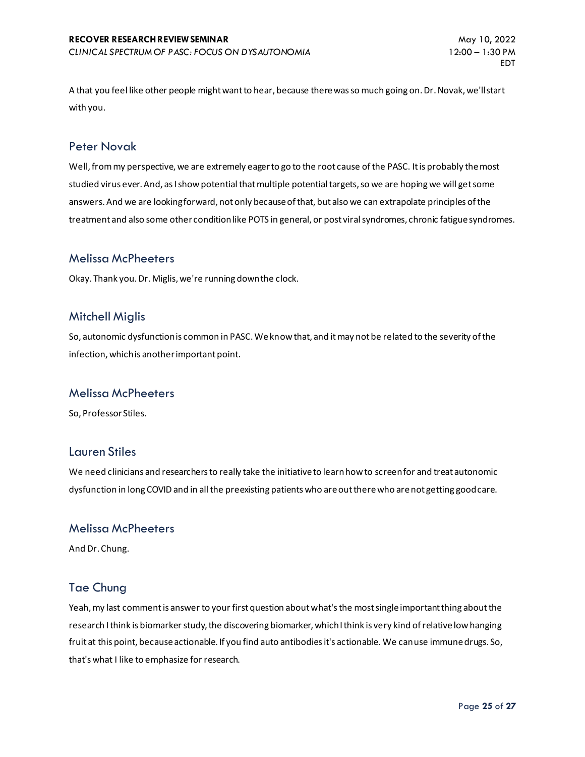A that you feel like other people might want to hear, because there was so much going on. Dr. Novak, we'll start with you.

#### Peter Novak

Well, from my perspective, we are extremely eager to go to the root cause of the PASC. It is probably the most studied virus ever. And, as I show potential that multiple potential targets, so we are hoping we will get some answers. And we are looking forward, not only because of that, but also we can extrapolate principles of the treatment and also some other condition like POTS in general, or post viral syndromes, chronic fatigue syndromes.

#### Melissa McPheeters

Okay. Thank you. Dr. Miglis, we're running down the clock.

#### Mitchell Miglis

So, autonomic dysfunction is common in PASC. We know that, and it may not be related to the severity of the infection, which is another important point.

#### Melissa McPheeters

So, Professor Stiles.

#### Lauren Stiles

We need clinicians and researchers to really take the initiative to learn how to screen for and treat autonomic dysfunction in long COVID and in all the preexisting patients who are out there who are not getting good care.

#### Melissa McPheeters

And Dr. Chung.

# Tae Chung

Yeah, my last comment is answer to your first question about what's the most single important thing about the research I think is biomarker study, the discovering biomarker, which I think is very kind of relative low hanging fruit at this point, because actionable. If you find auto antibodies it's actionable. We can use immune drugs. So, that's what I like to emphasize for research.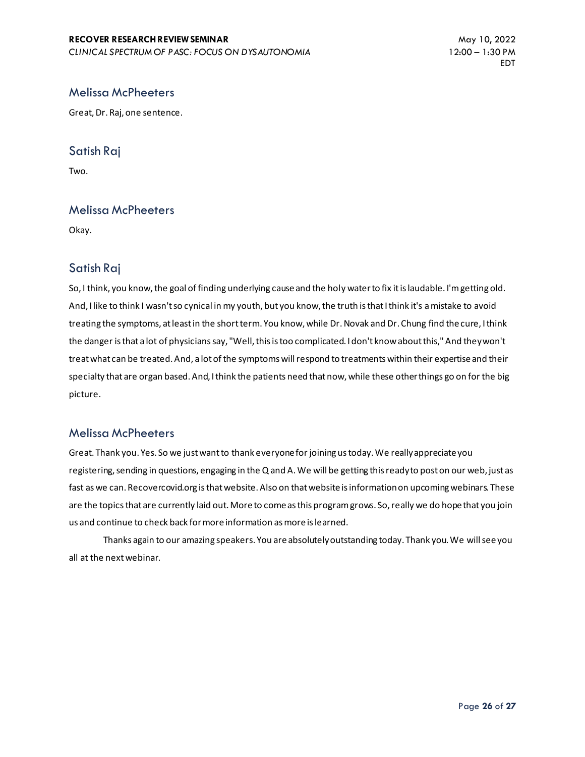# Melissa McPheeters

Great, Dr. Raj, one sentence.

# Satish Raj

Two.

#### Melissa McPheeters

Okay.

# Satish Raj

So, I think, you know, the goal of finding underlying cause and the holy water to fix it is laudable. I'm getting old. And, I like to think I wasn't so cynical in my youth, but you know, the truth is that I think it's a mistake to avoid treating the symptoms, at least in the short term. You know, while Dr. Novak and Dr. Chung find the cure, I think the danger is that a lot of physicians say, "Well, this is too complicated. I don't know about this," And they won't treat what can be treated. And, a lot of the symptoms will respond to treatments within their expertise and their specialty that are organ based. And, I think the patients need that now, while these other things go on for the big picture.

# Melissa McPheeters

Great. Thank you. Yes. So we just want to thank everyone for joining us today. We really appreciate you registering, sending in questions, engaging in the Q and A. We will be getting this ready to post on our web, just as fast as we can. Recovercovid.org is that website. Also on that website is information on upcoming webinars. These are the topics that are currently laid out. More to come as this program grows. So, really we do hope that you join us and continue to check back for more information as more is learned.

Thanks again to our amazing speakers. You are absolutely outstanding today. Thank you. We will see you all at the next webinar.